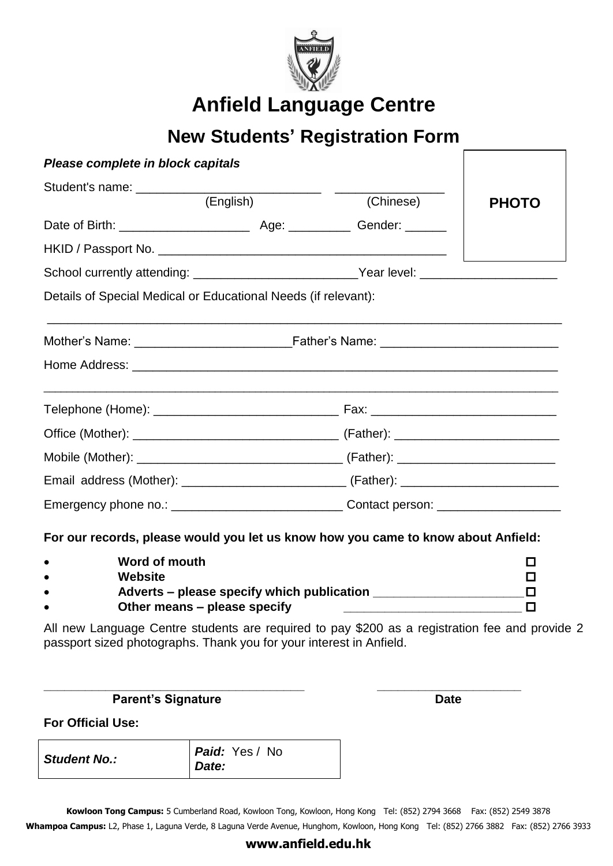

**Anfield Language Centre**

## **New Students' Registration Form**

| Please complete in block capitals                                                 |  |           |              |  |  |  |
|-----------------------------------------------------------------------------------|--|-----------|--------------|--|--|--|
| (English)                                                                         |  | (Chinese) |              |  |  |  |
|                                                                                   |  |           | <b>PHOTO</b> |  |  |  |
|                                                                                   |  |           |              |  |  |  |
| School currently attending: ___________________________Year level: ______________ |  |           |              |  |  |  |
| Details of Special Medical or Educational Needs (if relevant):                    |  |           |              |  |  |  |
|                                                                                   |  |           |              |  |  |  |
|                                                                                   |  |           |              |  |  |  |
|                                                                                   |  |           |              |  |  |  |
|                                                                                   |  |           |              |  |  |  |
|                                                                                   |  |           |              |  |  |  |
|                                                                                   |  |           |              |  |  |  |
|                                                                                   |  |           |              |  |  |  |

**For our records, please would you let us know how you came to know about Anfield:**

| Word of mouth                              |  |
|--------------------------------------------|--|
| Website                                    |  |
| Adverts – please specify which publication |  |
| Other means – please specify               |  |

**\_\_\_\_\_\_\_\_\_\_\_\_\_\_\_\_\_\_\_\_\_\_\_\_\_\_\_\_\_\_\_\_\_\_\_\_\_\_ \_\_\_\_\_\_\_\_\_\_\_\_\_\_\_\_\_\_\_\_\_** 

All new Language Centre students are required to pay \$200 as a registration fee and provide 2 passport sized photographs. Thank you for your interest in Anfield.

**Parent's Signature Date** 

**For Official Use:**

| <b>Student No.:</b> | Paid: Yes / No<br>Date: |
|---------------------|-------------------------|
|                     |                         |

**Kowloon Tong Campus:** 5 Cumberland Road, Kowloon Tong, Kowloon, Hong Kong Tel: (852) 2794 3668 Fax: (852) 2549 3878 Whampoa Campus: L2, Phase 1, Laguna Verde, 8 Laguna Verde Avenue, Hunghom, Kowloon, Hong Kong Tel: (852) 2766 3882 Fax: (852) 2766 3933

### **www.anfield.edu.hk**